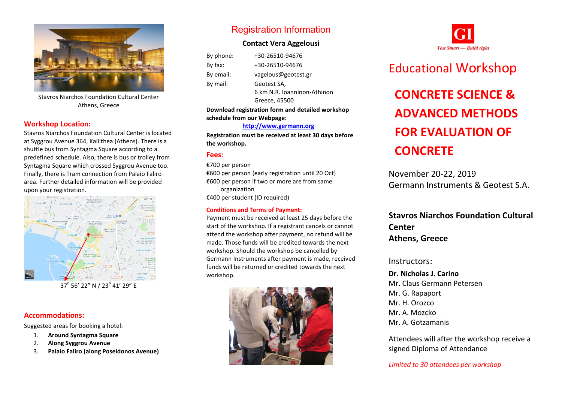

Stavros Niarchos Foundation Cultural Center Athens, Greece

### **Workshop Location:**

Stavros Niarchos Foundation Cultural Center is located at Syggrou Avenue 364, Kallithea (Athens). There is a shuttle bus from Syntagma Square according to a predefined schedule. Also, there is bus or trolley from Syntagma Square which crossed Syggrou Avenue too. Finally, there is Tram connection from Palaio Faliro area. Further detailed information will be provided upon your registration.



37° 56' 22" N / 23° 41' 29" E

### **Accommodations:**

Suggested areas for booking a hotel:

- 1. **Around Syntagma Square**
- 2. **Along Syggrou Avenue**
- 3. **Palaio Faliro (along Poseidonos Avenue)**

## Registration Information

### **Contact Vera Aggelousi**

| By phone: | +30-26510-94676             |
|-----------|-----------------------------|
| $By$ fax: | +30-26510-94676             |
| By email: | vagelous@geotest.gr         |
| By mail:  | Geotest SA,                 |
|           | 6 km N.R. Joanninon-Athinon |
|           | Greece, 45500               |

**Download registration form and detailed workshop schedule from our Webpage:**

#### **[http://www.germann.org](http://www.germann.org/)**

**Registration must be received at least 30 days before the workshop.**

### **Fees**:

€700 per person

€600 per person (early registration until 20 Oct) €600 per person if two or more are from same organization

€400 per student (ID required)

### **Conditions and Terms of Payment:**

Payment must be received at least 25 days before the start of the workshop. If a registrant cancels or cannot attend the workshop after payment, no refund will be made. Those funds will be credited towards the next workshop. Should the workshop be cancelled by Germann Instruments after payment is made, received funds will be returned or credited towards the next workshop.





# Educational Workshop

# **CONCRETE SCIENCE & ADVANCED METHODS FOR EVALUATION OF CONCRETE**

November 20-22, 2019 Germann Instruments & Geotest S.A.

## **Stavros Niarchos Foundation Cultural Center Athens, Greece**

### Instructors:

### **Dr. Nicholas J. Carino** Mr. Claus Germann Petersen Mr. G. Rapaport Mr. H. Orozco Mr. A. Mozcko Mr. A. Gotzamanis

Attendees will after the workshop receive a signed Diploma of Attendance

*Limited to 30 attendees per workshop*